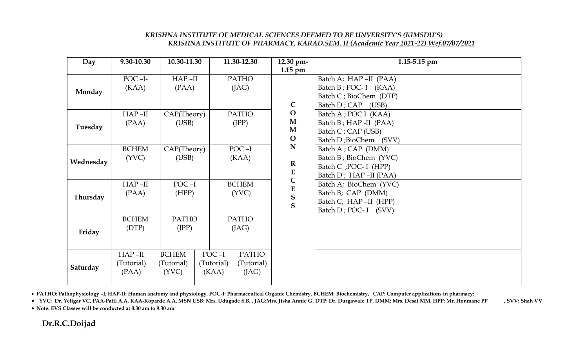## *KRISHNA INSTITUTE OF MEDICAL SCIENCES DEEMED TO BE UNVERSITY'S (KIMSDU'S) KRISHNA INSTITUTE OF PHARMACY, KARAD.SEM. II (Academic Year 2021-22) Wef.07/07/2021*

| Day       | 9.30-10.30   | 10.30-11.30  |            | 11.30-12.30  | $12.30$ pm-  | $1.15 - 5.15$ pm       |
|-----------|--------------|--------------|------------|--------------|--------------|------------------------|
|           |              |              |            |              | $1.15$ pm    |                        |
| Monday    | POC-I-       | $HAP - II$   |            | PATHO        |              | Batch A; HAP-II (PAA)  |
|           | (KAA)        | (PAA)        |            | (JAG)        |              | Batch B; POC-I (KAA)   |
|           |              |              |            |              |              | Batch C; BioChem (DTP) |
|           |              |              |            |              | $\mathsf{C}$ | Batch D; CAP (USB)     |
| Tuesday   | $HAP - II$   | CAP(Theory)  |            | PATHO        | $\mathbf{O}$ | Batch A; POC I (KAA)   |
|           | (PAA)        | (USB)        |            | (IPP)        | $\mathbf M$  | Batch B; HAP -II (PAA) |
|           |              |              |            |              | $\mathbf{M}$ | Batch C; CAP (USB)     |
|           |              |              |            |              | $\mathbf{O}$ | Batch D;BioChem (SVV)  |
| Wednesday | <b>BCHEM</b> | CAP(Theory)  |            | POC-I        | ${\bf N}$    | Batch A; CAP (DMM)     |
|           | (YVC)        | (USB)        |            | (KAA)        |              | Batch B; BioChem (YVC) |
|           |              |              |            |              | $\mathbf R$  | Batch C ; POC- I (HPP) |
|           |              |              |            |              | ${\bf E}$    | Batch D; HAP-II (PAA)  |
| Thursday  | $HAP - II$   | POC-I        |            | <b>BCHEM</b> | $\mathsf{C}$ | Batch A; BioChem (YVC) |
|           | (PAA)        | (HPP)        |            | (YVC)        | ${\bf E}$    | Batch B; CAP (DMM)     |
|           |              |              |            |              | $rac{S}{S}$  | Batch C; HAP-II (HPP)  |
|           |              |              |            |              |              | Batch D; POC- I (SVV)  |
| Friday    | <b>BCHEM</b> | PATHO        |            | PATHO        |              |                        |
|           | (DTP)        | (IPP)        |            | (JAG)        |              |                        |
|           |              |              |            |              |              |                        |
|           |              |              |            |              |              |                        |
| Saturday  | $HAP - II$   | <b>BCHEM</b> | POC-I      | PATHO        |              |                        |
|           | (Tutorial)   | (Tutorial)   | (Tutorial) | (Tutorial)   |              |                        |
|           | (PAA)        | (YVC)        | (KAA)      | (JAG)        |              |                        |
|           |              |              |            |              |              |                        |

• **PATHO: Pathophysiology –I, HAP-II: Human anatomy and physiology, POC-I: Pharmaceutical Organic Chemistry, BCHEM: Biochemistry, CAP: Computer applications in pharmacy:** 

• **YVC: Dr. Yeligar VC, PAA-Patil A.A, KAA-Koparde A.A, MSN USB: Mrs. Udugade S.B, , JAG:Mrs. Jisha Annie G, DTP: Dr. Durgawale TP, DMM: Mrs. Desai MM, HPP: Mr. Honmane PP , SVV: Shah VV** 

• **Note: EVS Classes will be conducted at 8.30 am to 9.30 am** 

**Dr.R.C.Doijad**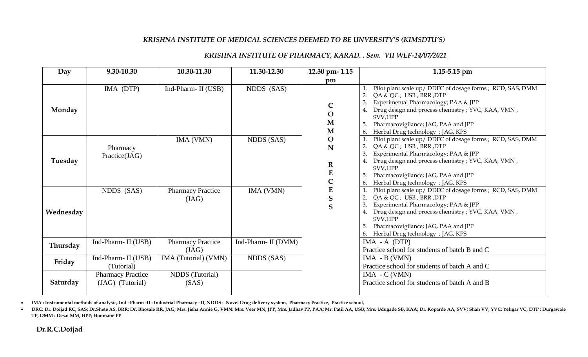## *KRISHNA INSTITUTE OF MEDICAL SCIENCES DEEMED TO BE UNVERSITY'S (KIMSDTU'S)*

| Day       | 9.30-10.30                                                               | 11.30-12.30<br>10.30-11.30        |                     | 12.30 pm-1.15                                                    | $1.15 - 5.15$ pm                                                                                                                                                                                                                                                                 |  |  |
|-----------|--------------------------------------------------------------------------|-----------------------------------|---------------------|------------------------------------------------------------------|----------------------------------------------------------------------------------------------------------------------------------------------------------------------------------------------------------------------------------------------------------------------------------|--|--|
|           |                                                                          |                                   |                     | pm                                                               |                                                                                                                                                                                                                                                                                  |  |  |
| Monday    | IMA (DTP)                                                                | Ind-Pharm- II (USB)               | NDDS (SAS)          | $\mathsf{C}$<br>$\mathbf O$<br>M<br>M                            | Pilot plant scale up/ DDFC of dosage forms ; RCD, SAS, DMM<br>QA & QC; USB, BRR, DTP<br>Experimental Pharmacology; PAA & JPP<br>Drug design and process chemistry ; YVC, KAA, VMN,<br>SVV, HPP<br>Pharmacovigilance; JAG, PAA and JPP<br>Herbal Drug technology ; JAG, KPS<br>6. |  |  |
| Tuesday   | Pharmacy<br>Practice(JAG)                                                | IMA (VMN)                         | NDDS (SAS)          | $\mathbf{O}$<br>N<br>R<br>E<br>$\mathsf{C}$                      | Pilot plant scale up/ DDFC of dosage forms ; RCD, SAS, DMM<br>QA & QC; USB, BRR, DTP<br>Experimental Pharmacology; PAA & JPP<br>Drug design and process chemistry ; YVC, KAA, VMN,<br>SVV, HPP<br>Pharmacovigilance; JAG, PAA and JPP<br>Herbal Drug technology ; JAG, KPS<br>6. |  |  |
| Wednesday | NDDS (SAS)                                                               | <b>Pharmacy Practice</b><br>(JAG) | IMA (VMN)           | E<br>${\mathbf S}$<br>$\mathbf S$                                | Pilot plant scale up/ DDFC of dosage forms ; RCD, SAS, DMM<br>QA & QC; USB, BRR, DTP<br>Experimental Pharmacology; PAA & JPP<br>Drug design and process chemistry ; YVC, KAA, VMN,<br>SVV, HPP<br>Pharmacovigilance; JAG, PAA and JPP<br>Herbal Drug technology ; JAG, KPS<br>6. |  |  |
| Thursday  | Ind-Pharm- II (USB)<br><b>Pharmacy Practice</b><br>(JAG)                 |                                   | Ind-Pharm- II (DMM) |                                                                  | $IMA - A (DTP)$<br>Practice school for students of batch B and C                                                                                                                                                                                                                 |  |  |
| Friday    | IMA (Tutorial) (VMN)<br>NDDS (SAS)<br>Ind-Pharm-II (USB)<br>(Tutorial)   |                                   |                     | $IMA - B (VMN)$<br>Practice school for students of batch A and C |                                                                                                                                                                                                                                                                                  |  |  |
| Saturday  | <b>Pharmacy Practice</b><br>NDDS (Tutorial)<br>(JAG) (Tutorial)<br>(SAS) |                                   |                     | $IMA - C (VMN)$<br>Practice school for students of batch A and B |                                                                                                                                                                                                                                                                                  |  |  |

## *KRISHNA INSTITUTE OF PHARMACY, KARAD. . Sem. VII WEF-24/07/2021*

• **IMA : Instrumental methods of analysis, Ind –Pharm -II : Industrial Pharmacy –II, NDDS : Novel Drug delivery system, Pharmacy Practice, Practice school,** 

· DRC: Dr. Doijad RC, SAS; Dr.Shete AS, BRR; Dr. Bhosale RR, JAG; Mrs. Jisha Annie G, VMN: Mrs. Veer MN, JPP; Mrs. Jadhav PP, PAA; Mr. Patil AA, USB; Mrs. Udugade SB, KAA; Dr. Koparde AA, SVV; Shah VV, YVC: Yeligar VC, DTP **TP, DMM : Desai MM, HPP; Honmane PP**